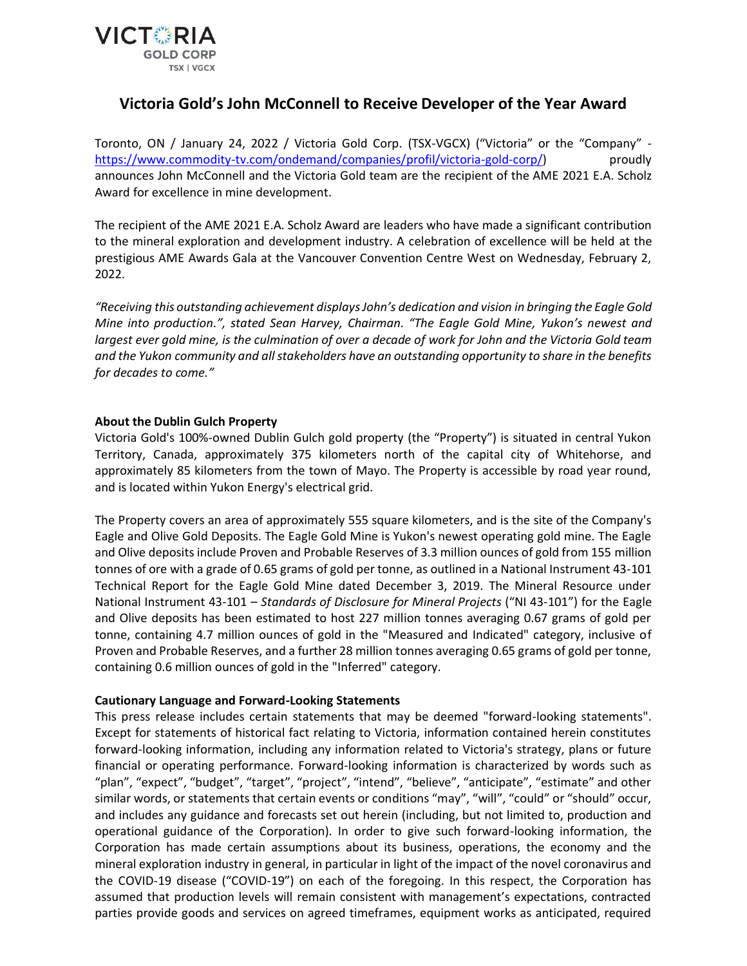

## **Victoria Gold's John McConnell to Receive Developer of the Year Award**

Toronto, ON / January 24, 2022 / Victoria Gold Corp. (TSX-VGCX) ("Victoria" or the "Company" [https://www.commodity-tv.com/ondemand/companies/profil/victoria-gold-corp/\)](https://www.commodity-tv.com/ondemand/companies/profil/victoria-gold-corp/) proudly announces John McConnell and the Victoria Gold team are the recipient of the AME 2021 E.A. Scholz Award for excellence in mine development.

The recipient of the AME 2021 E.A. Scholz Award are leaders who have made a significant contribution to the mineral exploration and development industry. A celebration of excellence will be held at the prestigious AME Awards Gala at the Vancouver Convention Centre West on Wednesday, February 2, 2022.

*"Receiving this outstanding achievement displays John's dedication and vision in bringing the Eagle Gold Mine into production.", stated Sean Harvey, Chairman. "The Eagle Gold Mine, Yukon's newest and largest ever gold mine, is the culmination of over a decade of work for John and the Victoria Gold team and the Yukon community and all stakeholders have an outstanding opportunity to share in the benefits for decades to come."*

## **About the Dublin Gulch Property**

Victoria Gold's 100%-owned Dublin Gulch gold property (the "Property") is situated in central Yukon Territory, Canada, approximately 375 kilometers north of the capital city of Whitehorse, and approximately 85 kilometers from the town of Mayo. The Property is accessible by road year round, and is located within Yukon Energy's electrical grid.

The Property covers an area of approximately 555 square kilometers, and is the site of the Company's Eagle and Olive Gold Deposits. The Eagle Gold Mine is Yukon's newest operating gold mine. The Eagle and Olive deposits include Proven and Probable Reserves of 3.3 million ounces of gold from 155 million tonnes of ore with a grade of 0.65 grams of gold per tonne, as outlined in a National Instrument 43-101 Technical Report for the Eagle Gold Mine dated December 3, 2019. The Mineral Resource under National Instrument 43-101 – *Standards of Disclosure for Mineral Projects* ("NI 43-101") for the Eagle and Olive deposits has been estimated to host 227 million tonnes averaging 0.67 grams of gold per tonne, containing 4.7 million ounces of gold in the "Measured and Indicated" category, inclusive of Proven and Probable Reserves, and a further 28 million tonnes averaging 0.65 grams of gold per tonne, containing 0.6 million ounces of gold in the "Inferred" category.

## **Cautionary Language and Forward-Looking Statements**

This press release includes certain statements that may be deemed "forward-looking statements". Except for statements of historical fact relating to Victoria, information contained herein constitutes forward-looking information, including any information related to Victoria's strategy, plans or future financial or operating performance. Forward-looking information is characterized by words such as "plan", "expect", "budget", "target", "project", "intend", "believe", "anticipate", "estimate" and other similar words, or statements that certain events or conditions "may", "will", "could" or "should" occur, and includes any guidance and forecasts set out herein (including, but not limited to, production and operational guidance of the Corporation). In order to give such forward-looking information, the Corporation has made certain assumptions about its business, operations, the economy and the mineral exploration industry in general, in particular in light of the impact of the novel coronavirus and the COVID-19 disease ("COVID-19") on each of the foregoing. In this respect, the Corporation has assumed that production levels will remain consistent with management's expectations, contracted parties provide goods and services on agreed timeframes, equipment works as anticipated, required